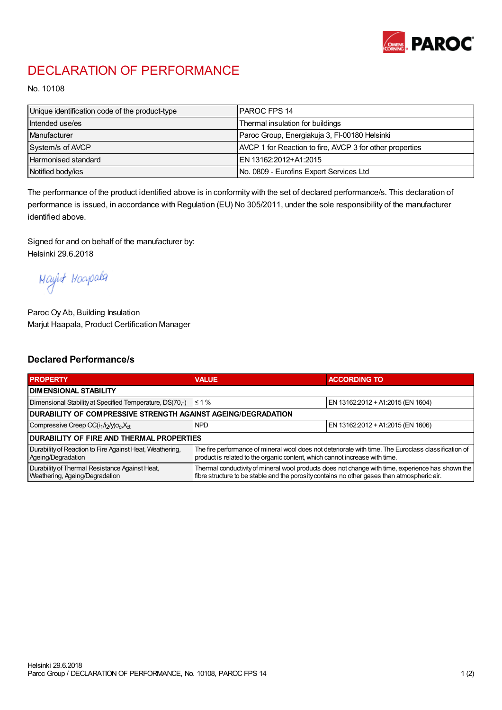

## DECLARATION OF PERFORMANCE

No. 10108

| Unique identification code of the product-type | IPAROC FPS 14                                            |
|------------------------------------------------|----------------------------------------------------------|
| Intended use/es                                | Thermal insulation for buildings                         |
| Manufacturer                                   | Paroc Group, Energiakuja 3, FI-00180 Helsinki            |
| System/s of AVCP                               | AVCP 1 for Reaction to fire, AVCP 3 for other properties |
| Harmonised standard                            | IEN 13162:2012+A1:2015                                   |
| Notified body/ies                              | No. 0809 - Eurofins Expert Services Ltd                  |

The performance of the product identified above is in conformity with the set of declared performance/s. This declaration of performance is issued, in accordance with Regulation (EU) No 305/2011, under the sole responsibility of the manufacturer identified above.

Signed for and on behalf of the manufacturer by: Helsinki 29.6.2018

Mayirt Hoapala

Paroc Oy Ab, Building Insulation Marjut Haapala, Product Certification Manager

## Declared Performance/s

| <b>PROPERTY</b>                                                                  | <b>VALUE</b>                                                                                                                                                                                     | <b>ACCORDING TO</b>               |  |  |
|----------------------------------------------------------------------------------|--------------------------------------------------------------------------------------------------------------------------------------------------------------------------------------------------|-----------------------------------|--|--|
| <b>I DIMENSIONAL STABILITY</b>                                                   |                                                                                                                                                                                                  |                                   |  |  |
| Dimensional Stability at Specified Temperature, DS(70,-)                         | $\leq 1\%$                                                                                                                                                                                       | EN 13162:2012 + A1:2015 (EN 1604) |  |  |
| DURABILITY OF COMPRESSIVE STRENGTH AGAINST AGEING/DEGRADATION                    |                                                                                                                                                                                                  |                                   |  |  |
| Compressive Creep CC(i <sub>1</sub> /i <sub>2</sub> /y) $\sigma_c X_{ct}$        | <b>NPD</b>                                                                                                                                                                                       | EN 13162:2012 + A1:2015 (EN 1606) |  |  |
| <b>DURABILITY OF FIRE AND THERMAL PROPERTIES</b>                                 |                                                                                                                                                                                                  |                                   |  |  |
| Durability of Reaction to Fire Against Heat, Weathering,<br>Ageing/Degradation   | The fire performance of mineral wool does not deteriorate with time. The Euroclass classification of<br>product is related to the organic content, which cannot increase with time.              |                                   |  |  |
| Durability of Thermal Resistance Against Heat,<br>Weathering, Ageing/Degradation | Thermal conductivity of mineral wool products does not change with time, experience has shown the<br>fibre structure to be stable and the porosity contains no other gases than atmospheric air. |                                   |  |  |